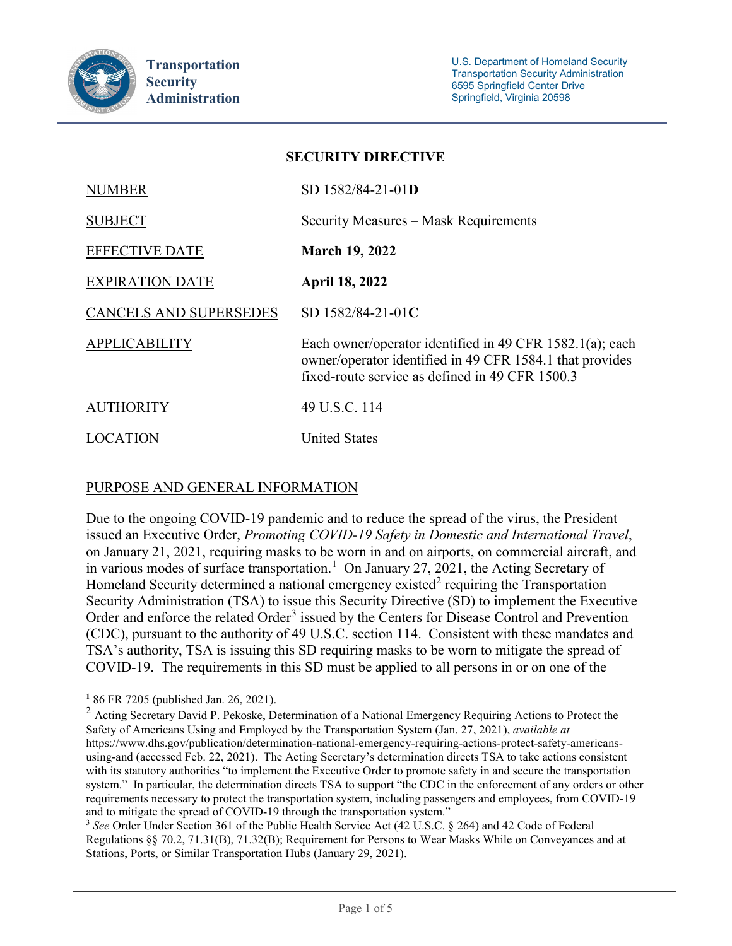

| SEUUKH 1 HIKEU HYE            |                                                                                                                                                                         |
|-------------------------------|-------------------------------------------------------------------------------------------------------------------------------------------------------------------------|
| <b>NUMBER</b>                 | SD 1582/84-21-01D                                                                                                                                                       |
| <b>SUBJECT</b>                | Security Measures – Mask Requirements                                                                                                                                   |
| <b>EFFECTIVE DATE</b>         | <b>March 19, 2022</b>                                                                                                                                                   |
| <b>EXPIRATION DATE</b>        | <b>April 18, 2022</b>                                                                                                                                                   |
| <b>CANCELS AND SUPERSEDES</b> | SD 1582/84-21-01C                                                                                                                                                       |
| <b>APPLICABILITY</b>          | Each owner/operator identified in 49 CFR 1582.1(a); each<br>owner/operator identified in 49 CFR 1584.1 that provides<br>fixed-route service as defined in 49 CFR 1500.3 |
| <b>AUTHORITY</b>              | 49 U.S.C. 114                                                                                                                                                           |
| LOCATION                      | <b>United States</b>                                                                                                                                                    |

**SECURITY DIRECTIVE**

# PURPOSE AND GENERAL INFORMATION

Due to the ongoing COVID-19 pandemic and to reduce the spread of the virus, the President issued an Executive Order, *Promoting COVID-19 Safety in Domestic and International Travel*, on January 21, 2021, requiring masks to be worn in and on airports, on commercial aircraft, and in various modes of surface transportation.<sup>[1](#page-0-0)</sup> On January 27, 2021, the Acting Secretary of Homeland Security determined a national emergency existed<sup>[2](#page-0-1)</sup> requiring the Transportation Security Administration (TSA) to issue this Security Directive (SD) to implement the Executive Order and enforce the related Order<sup>[3](#page-0-2)</sup> issued by the Centers for Disease Control and Prevention (CDC), pursuant to the authority of 49 U.S.C. section 114. Consistent with these mandates and TSA's authority, TSA is issuing this SD requiring masks to be worn to mitigate the spread of COVID-19. The requirements in this SD must be applied to all persons in or on one of the

 $\overline{a}$ **<sup>1</sup>** 86 FR 7205 (published Jan. 26, 2021).

<span id="page-0-1"></span><span id="page-0-0"></span><sup>&</sup>lt;sup>2</sup> Acting Secretary David P. Pekoske, Determination of a National Emergency Requiring Actions to Protect the Safety of Americans Using and Employed by the Transportation System (Jan. 27, 2021), *available at*  https://www.dhs.gov/publication/determination-national-emergency-requiring-actions-protect-safety-americansusing-and (accessed Feb. 22, 2021). The Acting Secretary's determination directs TSA to take actions consistent with its statutory authorities "to implement the Executive Order to promote safety in and secure the transportation system." In particular, the determination directs TSA to support "the CDC in the enforcement of any orders or other requirements necessary to protect the transportation system, including passengers and employees, from COVID-19 and to mitigate the spread of COVID-19 through the transportation system."<br><sup>3</sup> *See* Order Under Section 361 of the Public Health Service Act (42 U.S.C. § 264) and 42 Code of Federal

<span id="page-0-2"></span>Regulations §§ 70.2, 71.31(B), 71.32(B); Requirement for Persons to Wear Masks While on Conveyances and at Stations, Ports, or Similar Transportation Hubs (January 29, 2021).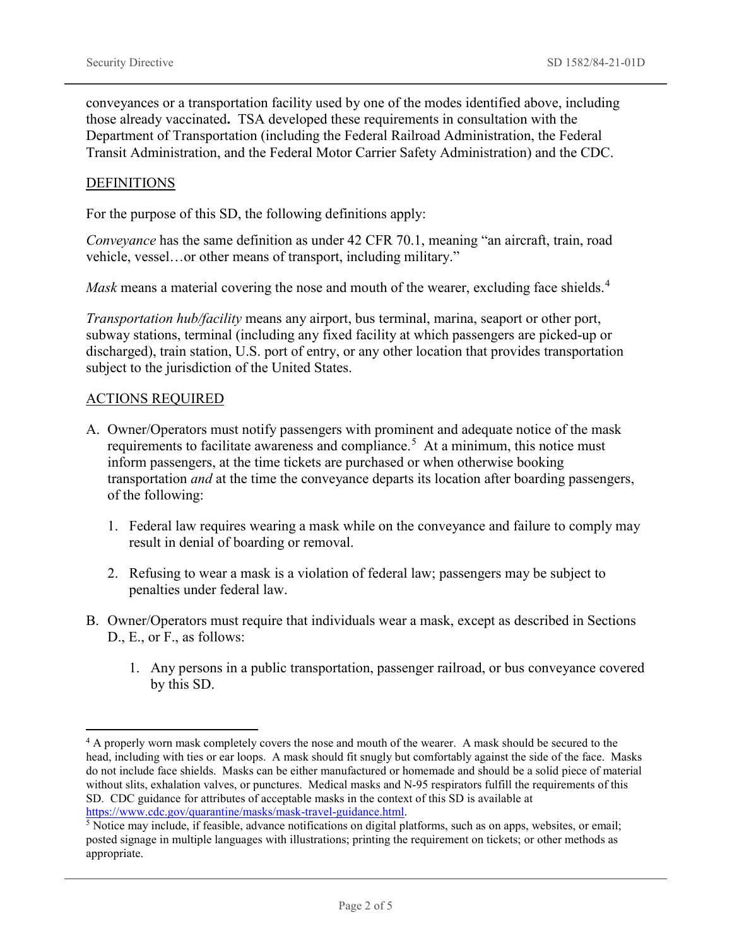conveyances or a transportation facility used by one of the modes identified above, including those already vaccinated**.** TSA developed these requirements in consultation with the Department of Transportation (including the Federal Railroad Administration, the Federal Transit Administration, and the Federal Motor Carrier Safety Administration) and the CDC.

### **DEFINITIONS**

For the purpose of this SD, the following definitions apply:

*Conveyance* has the same definition as under 42 CFR 70.1, meaning "an aircraft, train, road vehicle, vessel…or other means of transport, including military."

*Mask* means a material covering the nose and mouth of the wearer, excluding face shields.<sup>[4](#page-1-0)</sup>

*Transportation hub/facility* means any airport, bus terminal, marina, seaport or other port, subway stations, terminal (including any fixed facility at which passengers are picked-up or discharged), train station, U.S. port of entry, or any other location that provides transportation subject to the jurisdiction of the United States.

#### ACTIONS REQUIRED

- A. Owner/Operators must notify passengers with prominent and adequate notice of the mask requirements to facilitate awareness and compliance.<sup>[5](#page-1-1)</sup> At a minimum, this notice must inform passengers, at the time tickets are purchased or when otherwise booking transportation *and* at the time the conveyance departs its location after boarding passengers, of the following:
	- 1. Federal law requires wearing a mask while on the conveyance and failure to comply may result in denial of boarding or removal.
	- 2. Refusing to wear a mask is a violation of federal law; passengers may be subject to penalties under federal law.
- B. Owner/Operators must require that individuals wear a mask, except as described in Sections D., E., or F., as follows:
	- 1. Any persons in a public transportation, passenger railroad, or bus conveyance covered by this SD.

<span id="page-1-0"></span><sup>&</sup>lt;sup>4</sup> A properly worn mask completely covers the nose and mouth of the wearer. A mask should be secured to the head, including with ties or ear loops. A mask should fit snugly but comfortably against the side of the face. Masks do not include face shields. Masks can be either manufactured or homemade and should be a solid piece of material without slits, exhalation valves, or punctures. Medical masks and N-95 respirators fulfill the requirements of this SD. CDC guidance for attributes of acceptable masks in the context of this SD is available at [https://www.cdc.gov/quarantine/masks/mask-travel-guidance.html.](https://www.cdc.gov/quarantine/masks/mask-travel-guidance.html)

<span id="page-1-1"></span><sup>5</sup> Notice may include, if feasible, advance notifications on digital platforms, such as on apps, websites, or email; posted signage in multiple languages with illustrations; printing the requirement on tickets; or other methods as appropriate.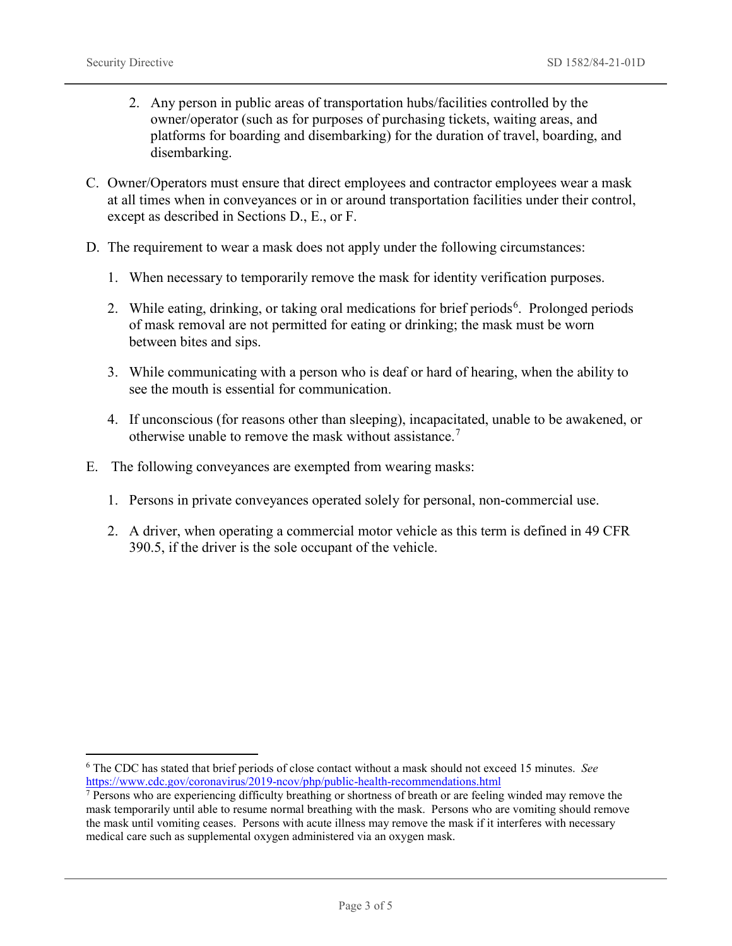- 2. Any person in public areas of transportation hubs/facilities controlled by the owner/operator (such as for purposes of purchasing tickets, waiting areas, and platforms for boarding and disembarking) for the duration of travel, boarding, and disembarking.
- C. Owner/Operators must ensure that direct employees and contractor employees wear a mask at all times when in conveyances or in or around transportation facilities under their control, except as described in Sections D., E., or F.
- D. The requirement to wear a mask does not apply under the following circumstances:
	- 1. When necessary to temporarily remove the mask for identity verification purposes.
	- 2. While eating, drinking, or taking oral medications for brief periods<sup>[6](#page-2-0)</sup>. Prolonged periods of mask removal are not permitted for eating or drinking; the mask must be worn between bites and sips.
	- 3. While communicating with a person who is deaf or hard of hearing, when the ability to see the mouth is essential for communication.
	- 4. If unconscious (for reasons other than sleeping), incapacitated, unable to be awakened, or otherwise unable to remove the mask without assistance.[7](#page-2-1)
- E. The following conveyances are exempted from wearing masks:
	- 1. Persons in private conveyances operated solely for personal, non-commercial use.
	- 2. A driver, when operating a commercial motor vehicle as this term is defined in 49 CFR 390.5, if the driver is the sole occupant of the vehicle.

<span id="page-2-0"></span> <sup>6</sup> The CDC has stated that brief periods of close contact without a mask should not exceed 15 minutes. *See* <https://www.cdc.gov/coronavirus/2019-ncov/php/public-health-recommendations.html>

<span id="page-2-1"></span><sup>&</sup>lt;sup>7</sup> Persons who are experiencing difficulty breathing or shortness of breath or are feeling winded may remove the mask temporarily until able to resume normal breathing with the mask. Persons who are vomiting should remove the mask until vomiting ceases. Persons with acute illness may remove the mask if it interferes with necessary medical care such as supplemental oxygen administered via an oxygen mask.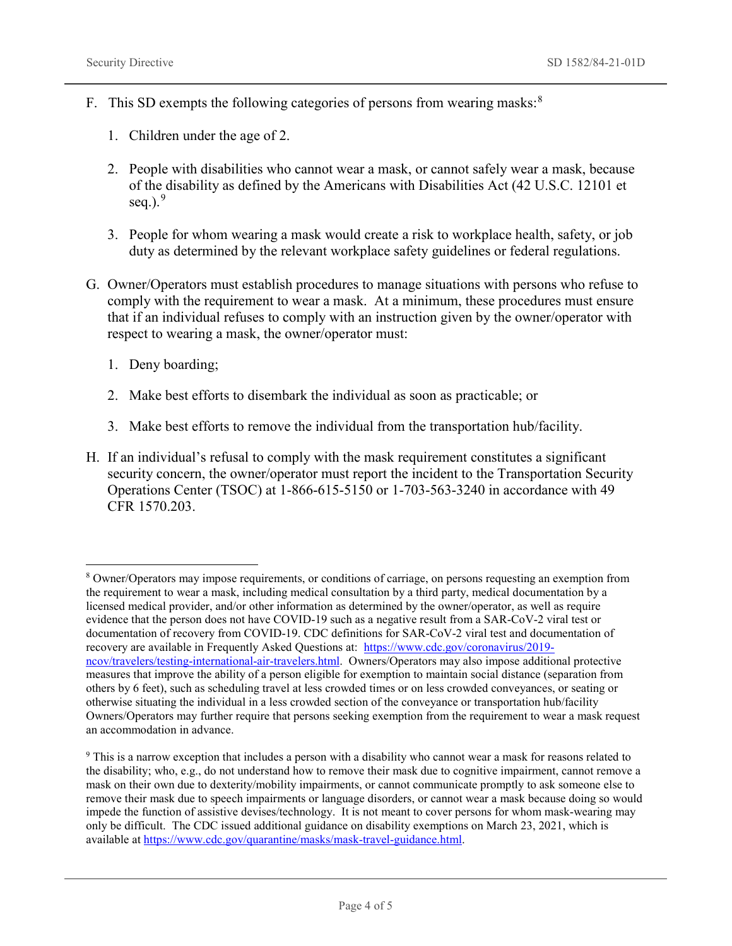- F. This SD exempts the following categories of persons from wearing masks:<sup>[8](#page-3-0)</sup>
	- 1. Children under the age of 2.
	- 2. People with disabilities who cannot wear a mask, or cannot safely wear a mask, because of the disability as defined by the Americans with Disabilities Act (42 U.S.C. 12101 et seq.). $9$
	- 3. People for whom wearing a mask would create a risk to workplace health, safety, or job duty as determined by the relevant workplace safety guidelines or federal regulations.
- G. Owner/Operators must establish procedures to manage situations with persons who refuse to comply with the requirement to wear a mask. At a minimum, these procedures must ensure that if an individual refuses to comply with an instruction given by the owner/operator with respect to wearing a mask, the owner/operator must:
	- 1. Deny boarding;
	- 2. Make best efforts to disembark the individual as soon as practicable; or
	- 3. Make best efforts to remove the individual from the transportation hub/facility.
- H. If an individual's refusal to comply with the mask requirement constitutes a significant security concern, the owner/operator must report the incident to the Transportation Security Operations Center (TSOC) at 1-866-615-5150 or 1-703-563-3240 in accordance with 49 CFR 1570.203.

<span id="page-3-0"></span> <sup>8</sup> Owner/Operators may impose requirements, or conditions of carriage, on persons requesting an exemption from the requirement to wear a mask, including medical consultation by a third party, medical documentation by a licensed medical provider, and/or other information as determined by the owner/operator, as well as require evidence that the person does not have COVID-19 such as a negative result from a SAR-CoV-2 viral test or documentation of recovery from COVID-19. CDC definitions for SAR-CoV-2 viral test and documentation of recovery are available in Frequently Asked Questions at: [https://www.cdc.gov/coronavirus/2019](https://www.cdc.gov/coronavirus/2019-ncov/travelers/testing-international-air-travelers.html) [ncov/travelers/testing-international-air-travelers.html.](https://www.cdc.gov/coronavirus/2019-ncov/travelers/testing-international-air-travelers.html) Owners/Operators may also impose additional protective measures that improve the ability of a person eligible for exemption to maintain social distance (separation from others by 6 feet), such as scheduling travel at less crowded times or on less crowded conveyances, or seating or otherwise situating the individual in a less crowded section of the conveyance or transportation hub/facility Owners/Operators may further require that persons seeking exemption from the requirement to wear a mask request an accommodation in advance.

<span id="page-3-1"></span><sup>9</sup> This is a narrow exception that includes a person with a disability who cannot wear a mask for reasons related to the disability; who, e.g., do not understand how to remove their mask due to cognitive impairment, cannot remove a mask on their own due to dexterity/mobility impairments, or cannot communicate promptly to ask someone else to remove their mask due to speech impairments or language disorders, or cannot wear a mask because doing so would impede the function of assistive devises/technology. It is not meant to cover persons for whom mask-wearing may only be difficult. The CDC issued additional guidance on disability exemptions on March 23, 2021, which is available at [https://www.cdc.gov/quarantine/masks/mask-travel-guidance.html.](https://www.cdc.gov/quarantine/masks/mask-travel-guidance.html)